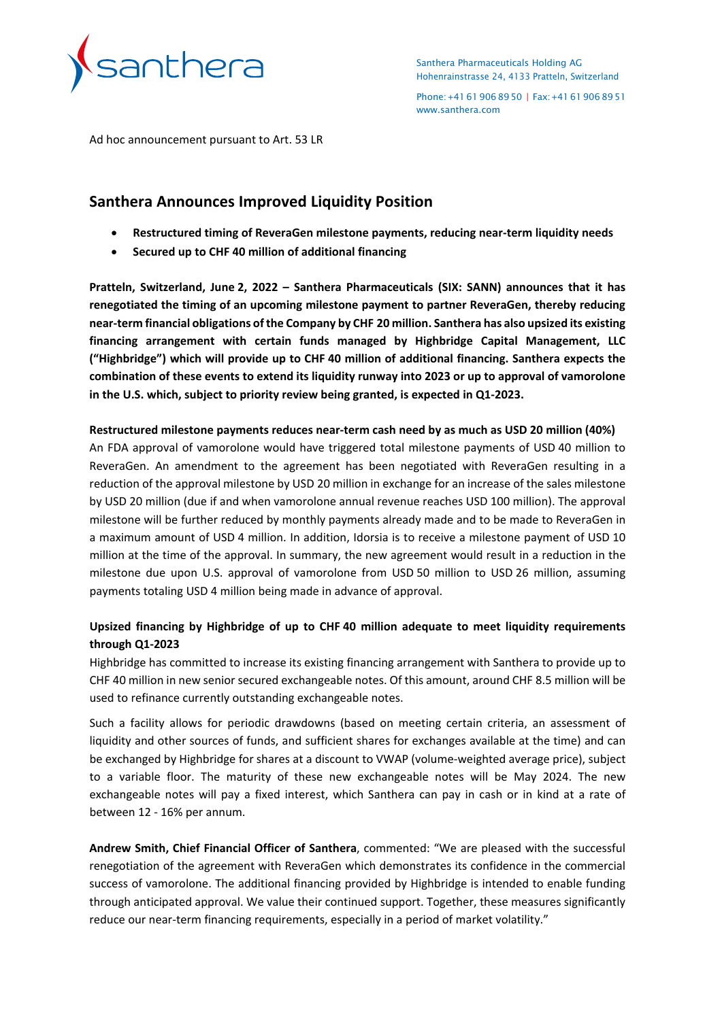

Santhera Pharmaceuticals Holding AG Hohenrainstrasse 24, 4133 Pratteln, Switzerland

Phone:+41619068950 | Fax:+41619068951 [www.santhera.com](http://www.santhera.com/)

Ad hoc announcement pursuant to Art. 53 LR

# **Santhera Announces Improved Liquidity Position**

- **Restructured timing of ReveraGen milestone payments, reducing near-term liquidity needs**
- **Secured up to CHF 40 million of additional financing**

**Pratteln, Switzerland, June 2, 2022 – Santhera Pharmaceuticals (SIX: SANN) announces that it has renegotiated the timing of an upcoming milestone payment to partner ReveraGen, thereby reducing near-term financial obligations of the Company by CHF 20 million. Santhera has also upsized its existing financing arrangement with certain funds managed by Highbridge Capital Management, LLC ("Highbridge") which will provide up to CHF 40 million of additional financing. Santhera expects the combination of these events to extend its liquidity runway into 2023 or up to approval of vamorolone in the U.S. which, subject to priority review being granted, is expected in Q1-2023.** 

### **Restructured milestone payments reduces near-term cash need by as much as USD 20 million (40%)**

An FDA approval of vamorolone would have triggered total milestone payments of USD 40 million to ReveraGen. An amendment to the agreement has been negotiated with ReveraGen resulting in a reduction of the approval milestone by USD 20 million in exchange for an increase of the sales milestone by USD 20 million (due if and when vamorolone annual revenue reaches USD 100 million). The approval milestone will be further reduced by monthly payments already made and to be made to ReveraGen in a maximum amount of USD 4 million. In addition, Idorsia is to receive a milestone payment of USD 10 million at the time of the approval. In summary, the new agreement would result in a reduction in the milestone due upon U.S. approval of vamorolone from USD 50 million to USD 26 million, assuming payments totaling USD 4 million being made in advance of approval.

## **Upsized financing by Highbridge of up to CHF 40 million adequate to meet liquidity requirements through Q1-2023**

Highbridge has committed to increase its existing financing arrangement with Santhera to provide up to CHF 40 million in new senior secured exchangeable notes. Of this amount, around CHF 8.5 million will be used to refinance currently outstanding exchangeable notes.

Such a facility allows for periodic drawdowns (based on meeting certain criteria, an assessment of liquidity and other sources of funds, and sufficient shares for exchanges available at the time) and can be exchanged by Highbridge for shares at a discount to VWAP (volume-weighted average price), subject to a variable floor. The maturity of these new exchangeable notes will be May 2024. The new exchangeable notes will pay a fixed interest, which Santhera can pay in cash or in kind at a rate of between 12 - 16% per annum.

**Andrew Smith, Chief Financial Officer of Santhera**, commented: "We are pleased with the successful renegotiation of the agreement with ReveraGen which demonstrates its confidence in the commercial success of vamorolone. The additional financing provided by Highbridge is intended to enable funding through anticipated approval. We value their continued support. Together, these measures significantly reduce our near-term financing requirements, especially in a period of market volatility."